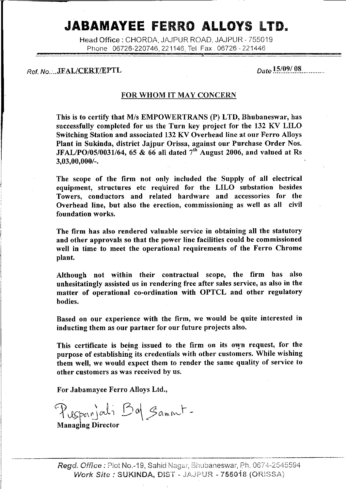# JABAMAYEE FERRO ALLOYS LTD.

Head Office: CHORDA, JAJPUR ROAD, JAJPUR - 755019 Phone 06726-220746, 221146, Tel Fax. 06726 - 221446

Ref. No....JFAL/CERT/EPTL

 $_{Data}$  15/09/ 08

### FOR WHOM IT MAY CONCERN

This is to certify that M/s EMPOWERTRANS (P) LTD, Bhubaneswar, has successfully completed for us the Turn key project for the 132 KV LILO Switching Station and associated 132 KV Overhead line at our Ferro Alloys Plant in Sukinda, district Jajpur Orissa, against our Purchase Order Nos. JFAL/PO/05/0031/64, 65 & 66 all dated  $7<sup>th</sup>$  August 2006, and valued at Rs  $3,03,00,000/$ -.

The scope of the firm not only included the Supply of all electrical equipment, structures etc required for the LILO substation besides Towers, conductors and related hardware and accessories for the Overhead line, but also the erection, commissioning as well as all civil foundation works.

The firm has also rendered valuable service in obtaining all the statutory and other approvals so that the power line facilities could be commissioned well in time to meet the operational requirements of the Ferro Chrome plant.

Although not within their contractual scope, the firm has also unhesitatingly assisted us in rendering free after sales service, as also in the matter of operational co-ordination with OPTCL and other regulatory bodies.

Based on our experience with the firm, we would be quite interested in inducting them as our partner for our future projects also.

This certificate is being issued to the firm on its own request, for the purpose of establishing its credentials with other customers. While wishing them well, we would expect them to render the same quality of service to other customers as was received by us.

For Jabamayee Ferro Alloys Ltd.,

Puspanjali Bal Sament-

**Managing Director**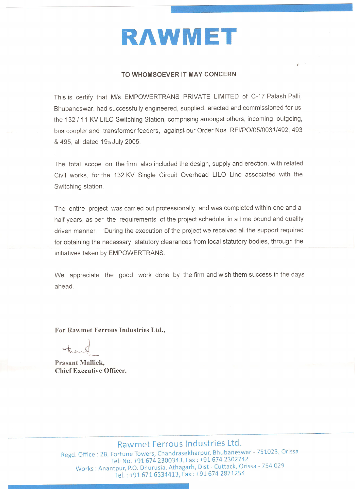

#### TO WHOMSOEVER IT MAY CONCERN

This is certify that M/s EMPOWERTRANS PRIVATE LIMITED of C-17 Palash Palli, Bhubaneswar, had successfully engineered, supplied, erected and commissioned for us the 132 / 11 KV LILO Switching Station, comprising amongst others, incoming, outgoing, bus coupler and transformer feeders, against our Order Nos. RFI/PO/05/0031/492, 493 & 495, all dated 19th July 2005.

The total scope on the firm also included the design, supply and erection, with related Civil works, for the 132 KV Single Circuit Overhead LILO Line associated with the Switching station.

The entire project was carried out professionally, and was completed within one and a half years, as per the requirements of the project schedule, in a time bound and quality driven manner. During the execution of the project we received all the support required for obtaining the necessary statutory clearances from local statutory bodies, through the initiatives taken by EMPOWERTRANS.

We appreciate the good work done by the firm and wish them success in the days ahead

For Rawmet Ferrous Industries Ltd.,

**Prasant Mallick, Chief Executive Officer.** 

### Rawmet Ferrous Industries Ltd.

Regd. Office: 2B, Fortune Towers, Chandrasekharpur, Bhubaneswar - 751023, Orissa Tel: No. +91 674 2300343, Fax: +91 674 2302742 Works: Anantpur, P.O. Dhurusia, Athagarh, Dist - Cuttack, Orissa - 754 029 Tel.: +91 671 6534413, Fax: +91 674 2871254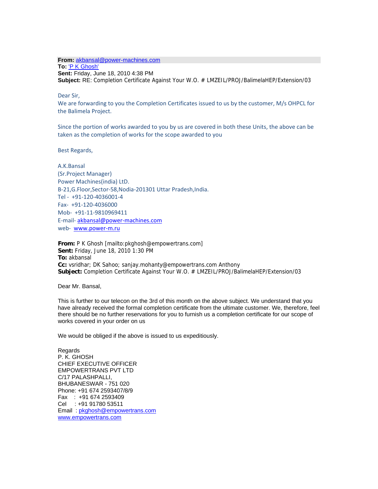**From:** akbansal@power-machines.com

**To:** 'P K Ghosh' **Sent:** Friday, June 18, 2010 4:38 PM **Subject:** RE: Completion Certificate Against Your W.O. # LMZEIL/PROJ/BalimelaHEP/Extension/03

Dear Sir,

We are forwarding to you the Completion Certificates issued to us by the customer, M/s OHPCL for the Balimela Project.

Since the portion of works awarded to you by us are covered in both these Units, the above can be taken as the completion of works for the scope awarded to you

Best Regards,

A.K.Bansal (Sr.Project Manager) Power Machines(india) LtD. B‐21,G.Floor,Sector‐58,Nodia‐201301 Uttar Pradesh,India. Tel ‐ +91‐120‐4036001‐4 Fax‐ +91‐120‐4036000 Mob‐ +91‐11‐9810969411 E‐mail‐ akbansal@power‐machines.com web- www.power-m.ru

**From:** P K Ghosh [mailto:pkghosh@empowertrans.com] **Sent:** Friday, June 18, 2010 1:30 PM **To:** akbansal **Cc:** vsridhar; DK Sahoo; sanjay.mohanty@empowertrans.com Anthony **Subject:** Completion Certificate Against Your W.O. # LMZEIL/PROJ/BalimelaHEP/Extension/03

Dear Mr. Bansal,

This is further to our telecon on the 3rd of this month on the above subject. We understand that you have already received the formal completion certificate from the ultimate customer. We, therefore, feel there should be no further reservations for you to furnish us a completion certificate for our scope of works covered in your order on us

We would be obliged if the above is issued to us expeditiously.

Regards P. K. GHOSH CHIEF EXECUTIVE OFFICER EMPOWERTRANS PVT LTD C/17 PALASHPALLI, BHUBANESWAR - 751 020 Phone: +91 674 2593407/8/9 Fax : +91 674 2593409 Cel : +91 91780 53511 Email : pkghosh@empowertrans.com www.empowertrans.com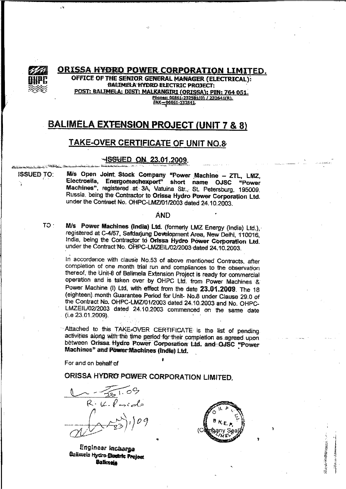

**ORISSA HYDRO POWER CORPORATION LIMITED.** OFFICE OF THE SENIOR GENERAL MANAGER (ELECTRICAL): **BALIMELA HYDRO ELECTRIC PROJECT:** POST: BALIMELA: DIST: MALKANGIRI (ORISSA): PIN: 764 051. Phones: 06861-232581(0) / 232641(R). FAX-06861-232541

### **BALIMELA EXTENSION PROJECT (UNIT 7 & 8)**

### **TAKE-OVER CERTIFICATE OF UNIT NO.8**

### -SSHED ON 23.01.2009.

M/s Open Joint Stock Company "Power Machine - ZTL, LMZ, **ISSUED TO:** Electrosila, Energomachexport" short name OJSC "Power Machines", registered at 3A, Vatuina Str., St. Petersburg, 195009. Russia, being the Contractor to Orissa Hydro Power Corporation Ltd. under the Contract No. OHPC-LMZ/01/2003 dated 24.10.2003.

#### **AND**

M/s Power Machines (India) Ltd. (formerly LMZ Energy (India) Ltd.). registered at C-4/57, Safdarjung Development Area, New Delhi, 110016, India, being the Contractor to Orissa Hydro Power Corporation Ltd. under the Contract No. OHPC-LMZEIL/02/2003-dated 24.10.2003.

In accordance with clause No.53 of above mentioned Contracts, after completion of one month trial run and compliances to the observation thereof, the Unit-8 of Balimela Extension Project is ready for commercial operation and is taken over by OHPC Ltd. from Power Machines & Power Machine (I) Ltd, with effect from the date 23.01.2009. The 18 (eighteen) month Guarantee Period for Unit- No.8 under Clause 29.0 of the Contract No. OHPC-LMZ/01/2003 dated 24.10.2003 and No. OHPC-LMZEIL/02/2003 dated 24.10.2003 commenced on the same date  $(i.e. 23.01.2009).$ 

Attached to this TAKE-OVER CERTIFICATE is the list of pending activities along with the time period for their completion as agreed upon. between Orissa Hydro Power Corporation Ltd. and OJSC "Power Machines" and Power Machines (India) Ltd.

For and on behalf of

ORISSA HYDRO POWER CORPORATION LIMITED.

 $R \cdot \iota_L$  ,  $\ell$  .

Engineer Incherge Belimela Hydro-Stantin Project **Batknota** 



 $TO<sub>1</sub>$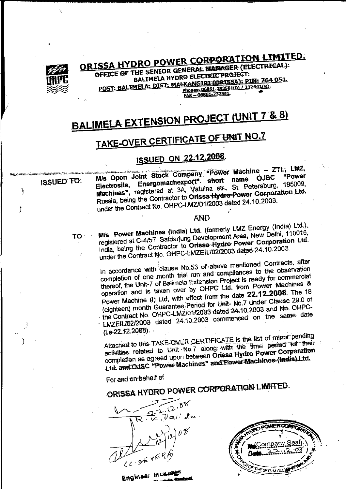

# ORISSA HYDRO POWER CORPORATION LIMITED.

OFFICE OF THE SENIOR GENERAL MANAGER (ELECTRICAL): **BALIMELA HYDRO ELECTRIC PROJECT:** POST: BALIMELA: DIST: MALKANGIRI (ORISSA): PIN: 764 051. Phones: 06861-232581(0) / 232641(R). FAX-06861-232541

# **BALIMELA EXTENSION PROJECT (UNIT 7 & 8)**

# **TAKE-OVER CERTIFICATE OF UNIT NO.7**

# **ISSUED ON 22.12.2008.**

### **ISSUED TO:**

 $\big)$ 

 $\mathbf{\hat{y}}$ 

M/s Open Joint Stock Company "Power Machine - ZTL, LMZ, "Power Energomachexport" short name Machines", registered at 3A, Vatuina str., St. Petersburg, 195009, Russia, being the Contractor to Orissa Hydro Power Corporation Ltd. under the Contract No. OHPC-LMZ/01/2003 dated 24.10.2003.

#### **AND**

TO: Mis Power Machines (India) Ltd. (formerly LMZ Energy (India) Ltd.). registered at C-4/57, Safdarjung Development Area, New Delhi, 110016, India, being the Contractor to Orissa Hydro Power Corporation Ltd. under the Contract No. OHPC-LMZEIL/02/2003 dated 24.10.2003.

In accordance with clause No.53 of above mentioned Contracts, after completion of one month trial run and compliances to the observation thereof, the Unit-7 of Balimela Extension Project is ready for commercial operation and is taken over by OHPC Ltd. from Power Machines & Power Machine (I) Ltd, with effect from the date 22.12.2008. The 18 (eighteen) month Guarantee Period for Unit- No.7 under Clause 29.0 of the Contract No. OHPC-LMZ/01/2003 dated 24.10.2003 and No. OHPC-LMZEIL/02/2003 dated 24.10.2003 commenced on the same date  $(i.e. 22.12.2008)$ .

Attached to this TAKE-OVER CERTIFICATE is the list of minor pending activities related to Unit No.7 along with the time period for their completion as agreed upon between Orissa Hydro Power Corporation Ltd. and OJSC "Power Machines" and Power Machines (India) Ltd.

For and on behalf of

ORISSA HYDRO POWER CORPORATION LIMITED.

 $12.58$ Darida. <u>ರಿ</u> .

Englass Inche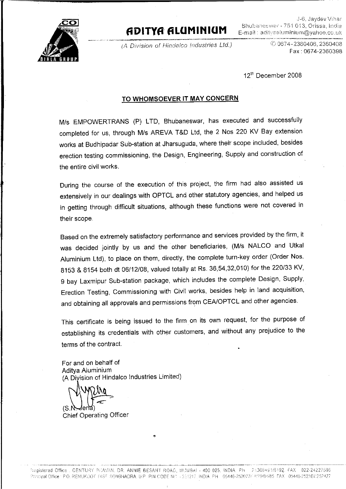

## ADITYA ALUMINIUM

(A Division of Hindelco Industries Ltd.)

J-6, Jaydev Vihar Bhubaneswar - 751 013, Orissa, India E-mail: adityaaluminium@yahoo.co.uk

> 2360406, 2360408 Fax: 0674-2360398

12th December 2008

### TO WHOMSOEVER IT MAY CONCERN

M/s EMPOWERTRANS (P) LTD, Bhubaneswar, has executed and successfully completed for us, through M/s AREVA T&D Ltd, the 2 Nos 220 KV Bay extension works at Budhipadar Sub-station at Jharsuguda, where their scope included, besides erection testing commissioning, the Design, Engineering, Supply and construction of the entire civil works.

During the course of the execution of this project, the firm had also assisted us extensively in our dealings with OPTCL and other statutory agencies, and helped us in getting through difficult situations, although these functions were not covered in their scope.

Based on the extremely satisfactory performance and services provided by the firm, it was decided jointly by us and the other beneficiaries, (M/s NALCO and Utkal Aluminium Ltd), to place on them, directly, the complete turn-key order (Order Nos. 8153 & 8154 both dt 06/12/08, valued totally at Rs. 36,54,32,010) for the 220/33 KV, 9 bay Laxmipur Sub-station package, which includes the complete Design, Supply, Erection Testing, Commissioning with Civil works, besides help in land acquisition, and obtaining all approvals and permissions from CEA/OPTCL and other agencies.

This certificate is being issued to the firm on its own request, for the purpose of establishing its credentials with other customers, and without any prejudice to the terms of the contract.

For and on behalf of Aditya Aluminium (A Division of Hindalco Industries Limited)

IS.

Chief Operating Officer